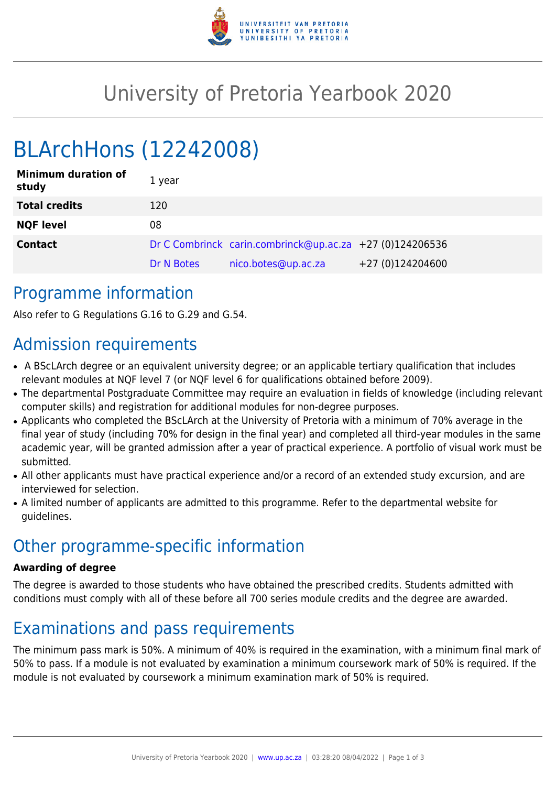

## University of Pretoria Yearbook 2020

# BLArchHons (12242008)

| <b>Minimum duration of</b><br>study | 1 year     |                                                          |                  |
|-------------------------------------|------------|----------------------------------------------------------|------------------|
| <b>Total credits</b>                | 120        |                                                          |                  |
| <b>NQF level</b>                    | 08         |                                                          |                  |
| <b>Contact</b>                      |            | Dr C Combrinck carin.combrinck@up.ac.za +27 (0)124206536 |                  |
|                                     | Dr N Botes | nico.botes@up.ac.za                                      | +27 (0)124204600 |

#### Programme information

Also refer to G Regulations G.16 to G.29 and G.54.

### Admission requirements

- A BScLArch degree or an equivalent university degree; or an applicable tertiary qualification that includes relevant modules at NQF level 7 (or NQF level 6 for qualifications obtained before 2009).
- The departmental Postgraduate Committee may require an evaluation in fields of knowledge (including relevant computer skills) and registration for additional modules for non-degree purposes.
- Applicants who completed the BScLArch at the University of Pretoria with a minimum of 70% average in the final year of study (including 70% for design in the final year) and completed all third-year modules in the same academic year, will be granted admission after a year of practical experience. A portfolio of visual work must be submitted.
- All other applicants must have practical experience and/or a record of an extended study excursion, and are interviewed for selection.
- A limited number of applicants are admitted to this programme. Refer to the departmental website for guidelines.

### Other programme-specific information

#### **Awarding of degree**

The degree is awarded to those students who have obtained the prescribed credits. Students admitted with conditions must comply with all of these before all 700 series module credits and the degree are awarded.

### Examinations and pass requirements

The minimum pass mark is 50%. A minimum of 40% is required in the examination, with a minimum final mark of 50% to pass. If a module is not evaluated by examination a minimum coursework mark of 50% is required. If the module is not evaluated by coursework a minimum examination mark of 50% is required.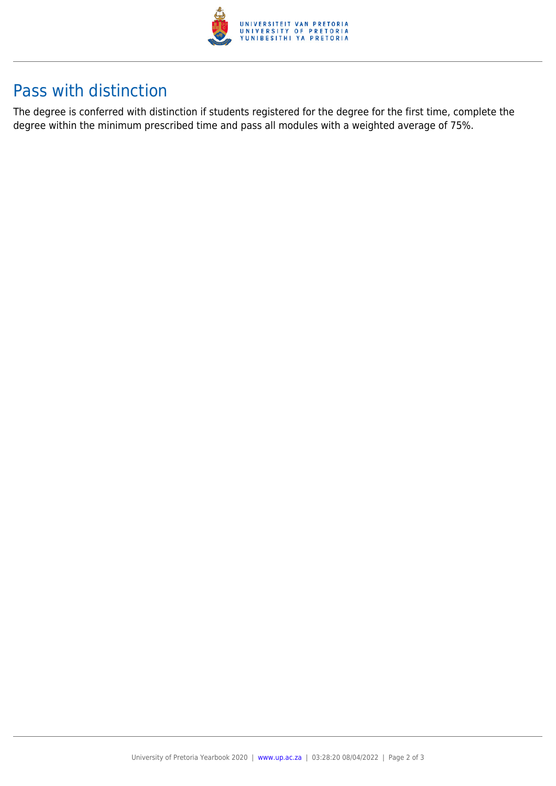

### Pass with distinction

The degree is conferred with distinction if students registered for the degree for the first time, complete the degree within the minimum prescribed time and pass all modules with a weighted average of 75%.